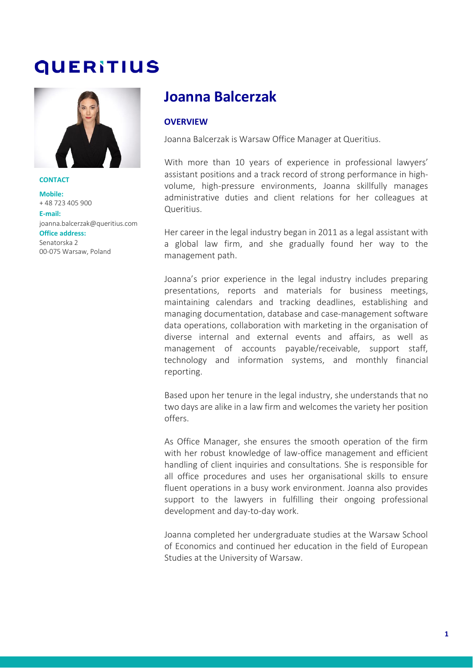# **QUERITIUS**



**CONTACT Mobile:** + 48 723 405 900 **E-mail:** [joanna.balcerzak@queritius.com](mailto:joanna.balcerzak@queritius.com) **Office address:** Senatorska 2 00-075 Warsaw, Poland

## **Joanna Balcerzak**

#### **OVERVIEW**

Joanna Balcerzak is Warsaw Office Manager at Queritius.

With more than 10 years of experience in professional lawyers' assistant positions and a track record of strong performance in highvolume, high-pressure environments, Joanna skillfully manages administrative duties and client relations for her colleagues at Queritius.

Her career in the legal industry began in 2011 as a legal assistant with a global law firm, and she gradually found her way to the management path.

Joanna's prior experience in the legal industry includes preparing presentations, reports and materials for business meetings, maintaining calendars and tracking deadlines, establishing and managing documentation, database and case-management software data operations, collaboration with marketing in the organisation of diverse internal and external events and affairs, as well as management of accounts payable/receivable, support staff, technology and information systems, and monthly financial reporting.

Based upon her tenure in the legal industry, she understands that no two days are alike in a law firm and welcomes the variety her position offers.

As Office Manager, she ensures the smooth operation of the firm with her robust knowledge of law-office management and efficient handling of client inquiries and consultations. She is responsible for all office procedures and uses her organisational skills to ensure fluent operations in a busy work environment. Joanna also provides support to the lawyers in fulfilling their ongoing professional development and day-to-day work.

Joanna completed her undergraduate studies at the Warsaw School of Economics and continued her education in the field of European Studies at the University of Warsaw.